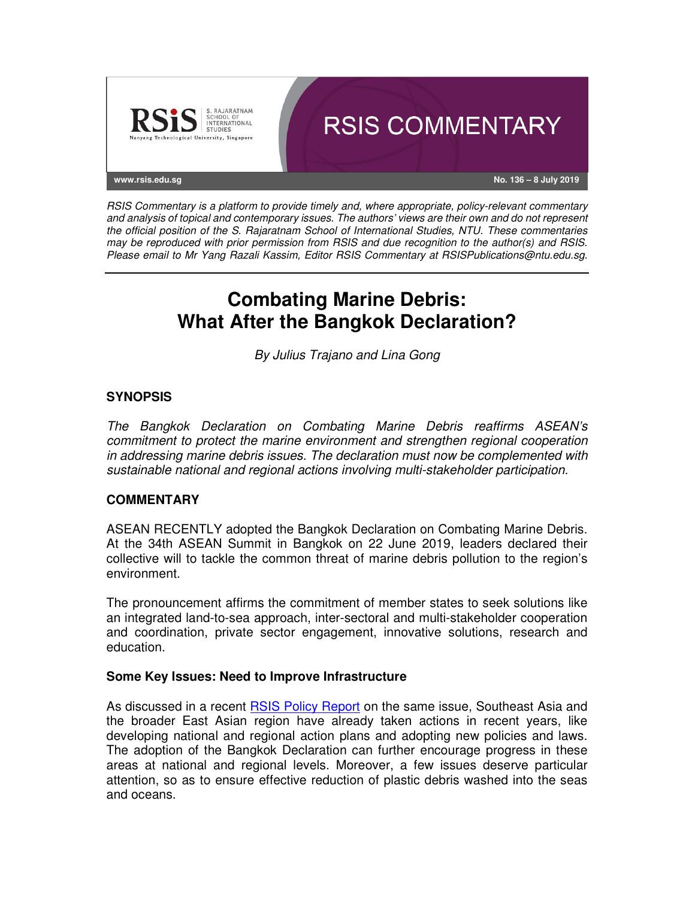

RSIS Commentary is a platform to provide timely and, where appropriate, policy-relevant commentary and analysis of topical and contemporary issues. The authors' views are their own and do not represent the official position of the S. Rajaratnam School of International Studies, NTU. These commentaries may be reproduced with prior permission from RSIS and due recognition to the author(s) and RSIS. Please email to Mr Yang Razali Kassim, Editor RSIS Commentary at RSISPublications@ntu.edu.sg.

# **Combating Marine Debris: What After the Bangkok Declaration?**

By Julius Trajano and Lina Gong

# **SYNOPSIS**

The Bangkok Declaration on Combating Marine Debris reaffirms ASEAN's commitment to protect the marine environment and strengthen regional cooperation in addressing marine debris issues. The declaration must now be complemented with sustainable national and regional actions involving multi-stakeholder participation.

### **COMMENTARY**

ASEAN RECENTLY adopted the Bangkok Declaration on Combating Marine Debris. At the 34th ASEAN Summit in Bangkok on 22 June 2019, leaders declared their collective will to tackle the common threat of marine debris pollution to the region's environment.

The pronouncement affirms the commitment of member states to seek solutions like an integrated land-to-sea approach, inter-sectoral and multi-stakeholder cooperation and coordination, private sector engagement, innovative solutions, research and education.

### **Some Key Issues: Need to Improve Infrastructure**

As discussed in a recent RSIS Policy Report on the same issue, Southeast Asia and the broader East Asian region have already taken actions in recent years, like developing national and regional action plans and adopting new policies and laws. The adoption of the Bangkok Declaration can further encourage progress in these areas at national and regional levels. Moreover, a few issues deserve particular attention, so as to ensure effective reduction of plastic debris washed into the seas and oceans.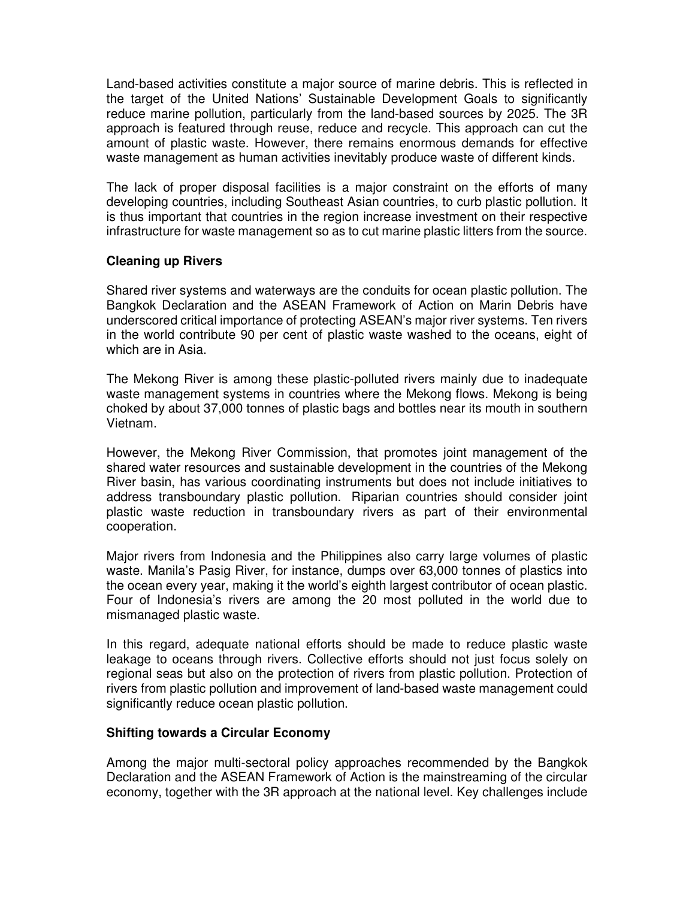Land-based activities constitute a major source of marine debris. This is reflected in the target of the United Nations' Sustainable Development Goals to significantly reduce marine pollution, particularly from the land-based sources by 2025. The 3R approach is featured through reuse, reduce and recycle. This approach can cut the amount of plastic waste. However, there remains enormous demands for effective waste management as human activities inevitably produce waste of different kinds.

The lack of proper disposal facilities is a major constraint on the efforts of many developing countries, including Southeast Asian countries, to curb plastic pollution. It is thus important that countries in the region increase investment on their respective infrastructure for waste management so as to cut marine plastic litters from the source.

# **Cleaning up Rivers**

Shared river systems and waterways are the conduits for ocean plastic pollution. The Bangkok Declaration and the ASEAN Framework of Action on Marin Debris have underscored critical importance of protecting ASEAN's major river systems. Ten rivers in the world contribute 90 per cent of plastic waste washed to the oceans, eight of which are in Asia.

The Mekong River is among these plastic-polluted rivers mainly due to inadequate waste management systems in countries where the Mekong flows. Mekong is being choked by about 37,000 tonnes of plastic bags and bottles near its mouth in southern Vietnam.

However, the Mekong River Commission, that promotes joint management of the shared water resources and sustainable development in the countries of the Mekong River basin, has various coordinating instruments but does not include initiatives to address transboundary plastic pollution. Riparian countries should consider joint plastic waste reduction in transboundary rivers as part of their environmental cooperation.

Major rivers from Indonesia and the Philippines also carry large volumes of plastic waste. Manila's Pasig River, for instance, dumps over 63,000 tonnes of plastics into the ocean every year, making it the world's eighth largest contributor of ocean plastic. Four of Indonesia's rivers are among the 20 most polluted in the world due to mismanaged plastic waste.

In this regard, adequate national efforts should be made to reduce plastic waste leakage to oceans through rivers. Collective efforts should not just focus solely on regional seas but also on the protection of rivers from plastic pollution. Protection of rivers from plastic pollution and improvement of land-based waste management could significantly reduce ocean plastic pollution.

### **Shifting towards a Circular Economy**

Among the major multi-sectoral policy approaches recommended by the Bangkok Declaration and the ASEAN Framework of Action is the mainstreaming of the circular economy, together with the 3R approach at the national level. Key challenges include